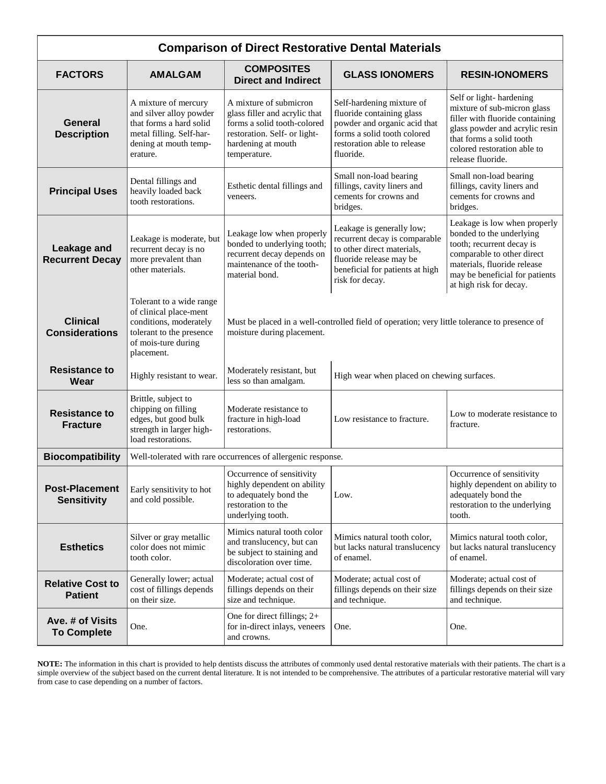| <b>Comparison of Direct Restorative Dental Materials</b> |                                                                                                                                               |                                                                                                                                                              |                                                                                                                                                                           |                                                                                                                                                                                                                 |  |  |
|----------------------------------------------------------|-----------------------------------------------------------------------------------------------------------------------------------------------|--------------------------------------------------------------------------------------------------------------------------------------------------------------|---------------------------------------------------------------------------------------------------------------------------------------------------------------------------|-----------------------------------------------------------------------------------------------------------------------------------------------------------------------------------------------------------------|--|--|
| <b>FACTORS</b>                                           | <b>AMALGAM</b>                                                                                                                                | <b>COMPOSITES</b><br><b>Direct and Indirect</b>                                                                                                              | <b>GLASS IONOMERS</b>                                                                                                                                                     | <b>RESIN-IONOMERS</b>                                                                                                                                                                                           |  |  |
| General<br><b>Description</b>                            | A mixture of mercury<br>and silver alloy powder<br>that forms a hard solid<br>metal filling. Self-har-<br>dening at mouth temp-<br>erature.   | A mixture of submicron<br>glass filler and acrylic that<br>forms a solid tooth-colored<br>restoration. Self- or light-<br>hardening at mouth<br>temperature. | Self-hardening mixture of<br>fluoride containing glass<br>powder and organic acid that<br>forms a solid tooth colored<br>restoration able to release<br>fluoride.         | Self or light-hardening<br>mixture of sub-micron glass<br>filler with fluoride containing<br>glass powder and acrylic resin<br>that forms a solid tooth<br>colored restoration able to<br>release fluoride.     |  |  |
| <b>Principal Uses</b>                                    | Dental fillings and<br>heavily loaded back<br>tooth restorations.                                                                             | Esthetic dental fillings and<br>veneers.                                                                                                                     | Small non-load bearing<br>fillings, cavity liners and<br>cements for crowns and<br>bridges.                                                                               | Small non-load bearing<br>fillings, cavity liners and<br>cements for crowns and<br>bridges.                                                                                                                     |  |  |
| Leakage and<br><b>Recurrent Decay</b>                    | Leakage is moderate, but<br>recurrent decay is no<br>more prevalent than<br>other materials.                                                  | Leakage low when properly<br>bonded to underlying tooth;<br>recurrent decay depends on<br>maintenance of the tooth-<br>material bond.                        | Leakage is generally low;<br>recurrent decay is comparable<br>to other direct materials,<br>fluoride release may be<br>beneficial for patients at high<br>risk for decay. | Leakage is low when properly<br>bonded to the underlying<br>tooth; recurrent decay is<br>comparable to other direct<br>materials, fluoride release<br>may be beneficial for patients<br>at high risk for decay. |  |  |
| <b>Clinical</b><br><b>Considerations</b>                 | Tolerant to a wide range<br>of clinical place-ment<br>conditions, moderately<br>tolerant to the presence<br>of mois-ture during<br>placement. | Must be placed in a well-controlled field of operation; very little tolerance to presence of<br>moisture during placement.                                   |                                                                                                                                                                           |                                                                                                                                                                                                                 |  |  |
| <b>Resistance to</b><br>Wear                             | Highly resistant to wear.                                                                                                                     | Moderately resistant, but<br>less so than amalgam.                                                                                                           | High wear when placed on chewing surfaces.                                                                                                                                |                                                                                                                                                                                                                 |  |  |
| <b>Resistance to</b><br><b>Fracture</b>                  | Brittle, subject to<br>chipping on filling<br>edges, but good bulk<br>strength in larger high-<br>load restorations.                          | Moderate resistance to<br>fracture in high-load<br>restorations.                                                                                             | Low resistance to fracture.                                                                                                                                               | Low to moderate resistance to<br>fracture.                                                                                                                                                                      |  |  |
| <b>Biocompatibility</b>                                  | Well-tolerated with rare occurrences of allergenic response.                                                                                  |                                                                                                                                                              |                                                                                                                                                                           |                                                                                                                                                                                                                 |  |  |
| <b>Post-Placement</b><br><b>Sensitivity</b>              | Early sensitivity to hot<br>and cold possible.                                                                                                | Occurrence of sensitivity<br>highly dependent on ability<br>to adequately bond the<br>restoration to the<br>underlying tooth.                                | Low.                                                                                                                                                                      | Occurrence of sensitivity<br>highly dependent on ability to<br>adequately bond the<br>restoration to the underlying<br>tooth.                                                                                   |  |  |
| <b>Esthetics</b>                                         | Silver or gray metallic<br>color does not mimic<br>tooth color.                                                                               | Mimics natural tooth color<br>and translucency, but can<br>be subject to staining and<br>discoloration over time.                                            | Mimics natural tooth color,<br>but lacks natural translucency<br>of enamel.                                                                                               | Mimics natural tooth color,<br>but lacks natural translucency<br>of enamel.                                                                                                                                     |  |  |
| <b>Relative Cost to</b><br><b>Patient</b>                | Generally lower; actual<br>cost of fillings depends<br>on their size.                                                                         | Moderate; actual cost of<br>fillings depends on their<br>size and technique.                                                                                 | Moderate; actual cost of<br>fillings depends on their size<br>and technique.                                                                                              | Moderate; actual cost of<br>fillings depends on their size<br>and technique.                                                                                                                                    |  |  |
| Ave. # of Visits<br><b>To Complete</b>                   | One.                                                                                                                                          | One for direct fillings; 2+<br>for in-direct inlays, veneers<br>and crowns.                                                                                  | One.                                                                                                                                                                      | One.                                                                                                                                                                                                            |  |  |

**NOTE:** The information in this chart is provided to help dentists discuss the attributes of commonly used dental restorative materials with their patients. The chart is a simple overview of the subject based on the current dental literature. It is not intended to be comprehensive. The attributes of a particular restorative material will vary from case to case depending on a number of factors.